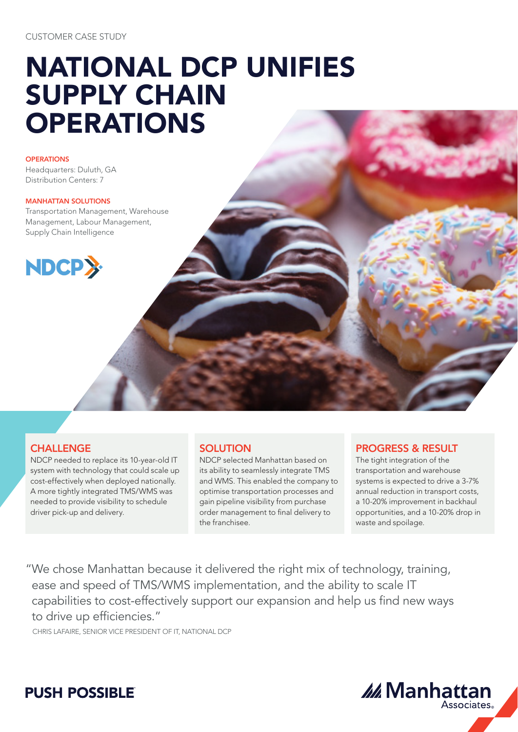# NATIONAL DCP UNIFIES SUPPLY CHAIN **OPERATIONS**

**OPERATIONS** 

Headquarters: Duluth, GA Distribution Centers: 7

#### MANHATTAN SOLUTIONS

Transportation Management, Warehouse Management, Labour Management, Supply Chain Intelligence



# **CHALLENGE**

NDCP needed to replace its 10-year-old IT system with technology that could scale up cost-effectively when deployed nationally. A more tightly integrated TMS/WMS was needed to provide visibility to schedule driver pick-up and delivery.

### **SOLUTION**

NDCP selected Manhattan based on its ability to seamlessly integrate TMS and WMS. This enabled the company to optimise transportation processes and gain pipeline visibility from purchase order management to final delivery to the franchisee.

## PROGRESS & RESULT

The tight integration of the transportation and warehouse systems is expected to drive a 3-7% annual reduction in transport costs, a 10-20% improvement in backhaul opportunities, and a 10-20% drop in waste and spoilage.

"We chose Manhattan because it delivered the right mix of technology, training, ease and speed of TMS/WMS implementation, and the ability to scale IT capabilities to cost-effectively support our expansion and help us find new ways to drive up efficiencies."

CHRIS LAFAIRE, SENIOR VICE PRESIDENT OF IT, NATIONAL DCP